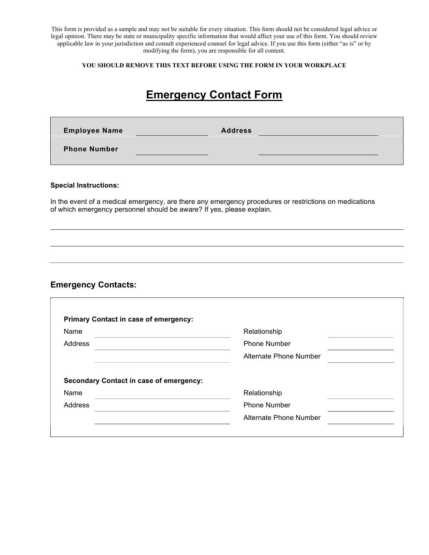This form is provided as a sample and may not be suitable for every situation. This form should not be considered legal advice or legal opinion. There may be state or municipality specific information that would affect your use of this form. You should review applicable law in your jurisdiction and consult experienced counsel for legal advice. If you use this form (either "as is" or by modifying the form), you are responsible for all content.

#### YOU SHOULD REMOVE THIS TEXT BEFORE USING THE FORM IN YOUR WORKPLACE

# Emergency Contact Form

| <b>Employee Name</b> | <b>Address</b> |  |
|----------------------|----------------|--|
| <b>Phone Number</b>  |                |  |

#### Special Instructions:

In the event of a medical emergency, are there any emergency procedures or restrictions on medications of which emergency personnel should be aware? If yes, please explain.

### Emergency Contacts:

| Name                                                   | Relationship           |  |  |
|--------------------------------------------------------|------------------------|--|--|
| Address                                                | <b>Phone Number</b>    |  |  |
|                                                        | Alternate Phone Number |  |  |
|                                                        |                        |  |  |
|                                                        |                        |  |  |
| <b>Secondary Contact in case of emergency:</b><br>Name | Relationship           |  |  |
| Address                                                | <b>Phone Number</b>    |  |  |